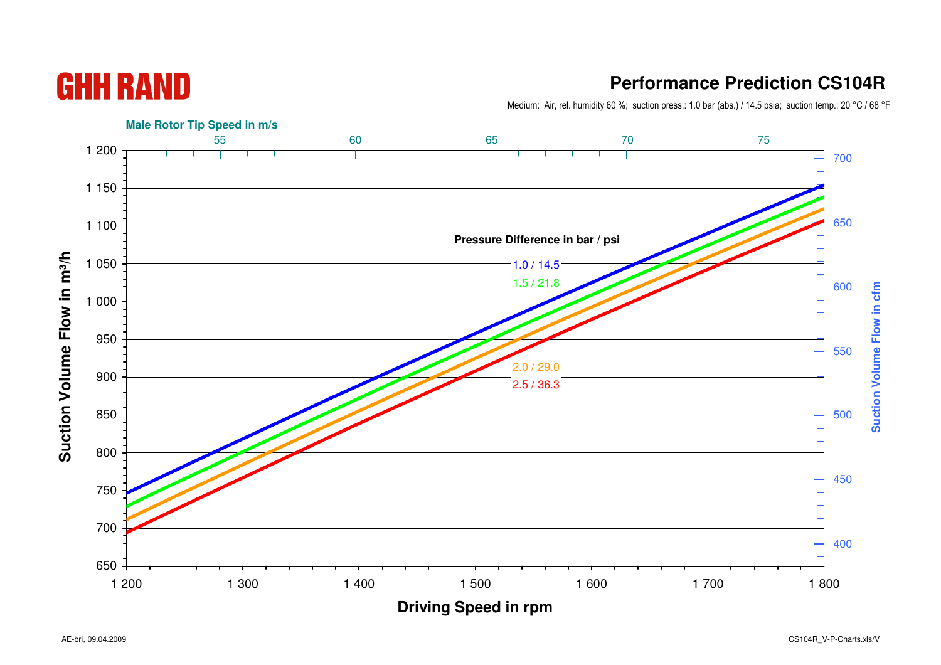AE-bri, 09.04.2009

## **Performance Prediction CS104R**

Medium: Air, rel. humidity 60 %; suction press.: 1.0 bar (abs.) / 14.5 psia; suction temp.: 20 °C / 68 °F